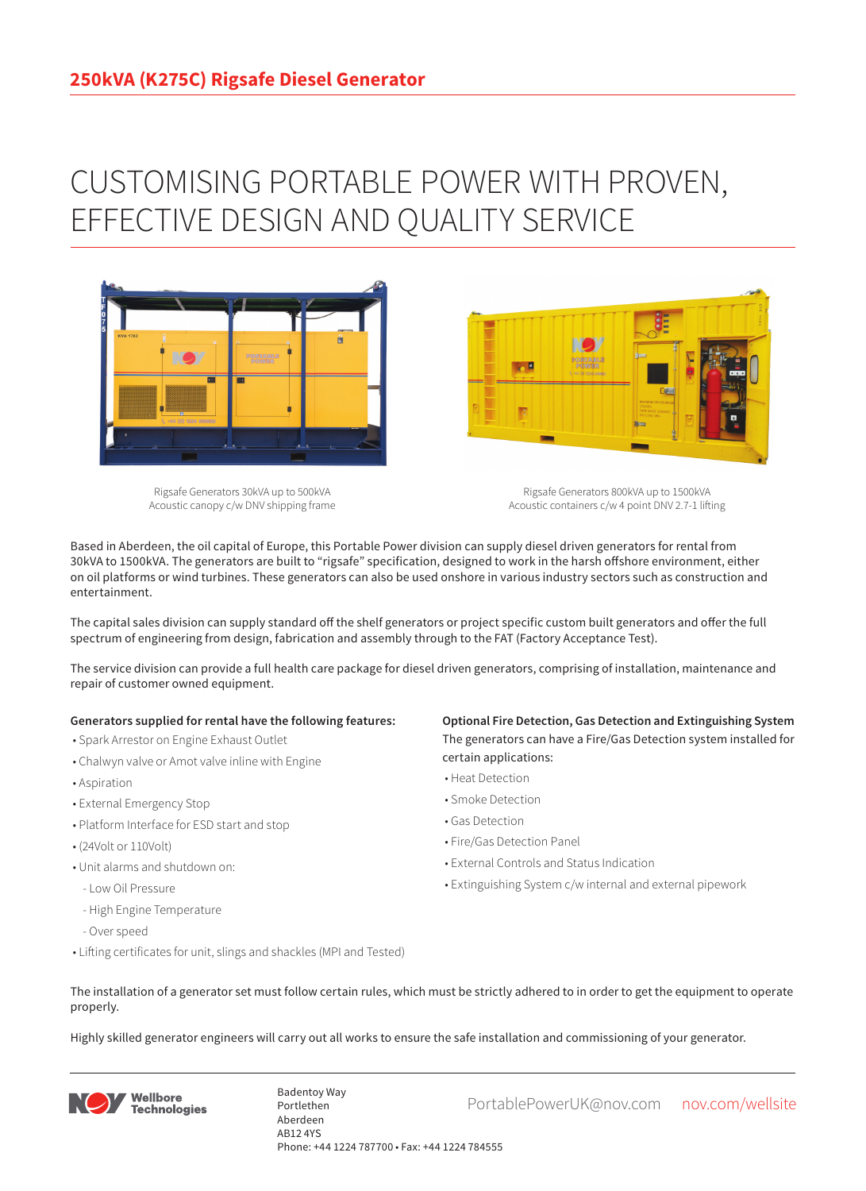## CUSTOMISING PORTABLE POWER WITH PROVEN, EFFECTIVE DESIGN AND QUALITY SERVICE



Rigsafe Generators 30kVA up to 500kVA Acoustic canopy c/w DNV shipping frame

Rigsafe Generators 800kVA up to 1500kVA Acoustic containers c/w 4 point DNV 2.7-1 lifting

Based in Aberdeen, the oil capital of Europe, this Portable Power division can supply diesel driven generators for rental from 30kVA to 1500kVA. The generators are built to "rigsafe" specification, designed to work in the harsh offshore environment, either on oil platforms or wind turbines. These generators can also be used onshore in various industry sectors such as construction and entertainment.

The capital sales division can supply standard off the shelf generators or project specific custom built generators and offer the full spectrum of engineering from design, fabrication and assembly through to the FAT (Factory Acceptance Test).

The service division can provide a full health care package for diesel driven generators, comprising of installation, maintenance and repair of customer owned equipment.

## **Generators supplied for rental have the following features:**

- Spark Arrestor on Engine Exhaust Outlet
- Chalwyn valve or Amot valve inline with Engine
- Aspiration
- External Emergency Stop
- Platform Interface for ESD start and stop
- (24Volt or 110Volt)
- Unit alarms and shutdown on:
- Low Oil Pressure
- High Engine Temperature
- Over speed
- Lifting certificates for unit, slings and shackles (MPI and Tested)

## **Optional Fire Detection, Gas Detection and Extinguishing System** The generators can have a Fire/Gas Detection system installed for certain applications:

- Heat Detection
- Smoke Detection
- Gas Detection
- Fire/Gas Detection Panel

**Designation** 

- External Controls and Status Indication
- Extinguishing System c/w internal and external pipework
- The installation of a generator set must follow certain rules, which must be strictly adhered to in order to get the equipment to operate properly.

Highly skilled generator engineers will carry out all works to ensure the safe installation and commissioning of your generator.



Badentoy Way<br>PortablePowerUK@nov.com nov.com/wellsite Portlethen Aberdeen AB12 4YS Phone: +44 1224 787700 • Fax: +44 1224 784555